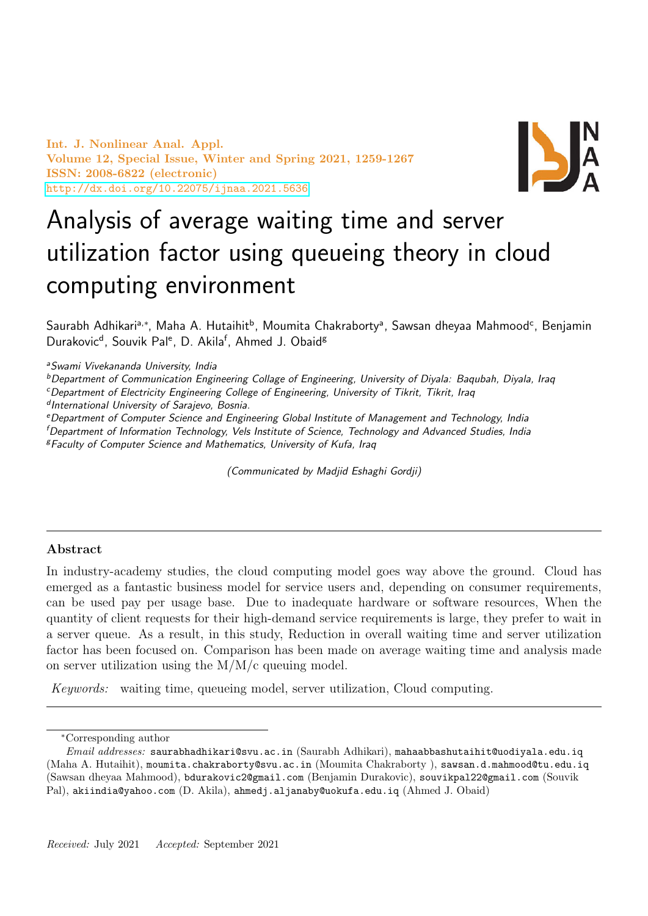Int. J. Nonlinear Anal. Appl. Volume 12, Special Issue, Winter and Spring 2021, 1259-1267 ISSN: 2008-6822 (electronic) <http://dx.doi.org/10.22075/ijnaa.2021.5636>



# Analysis of average waiting time and server utilization factor using queueing theory in cloud computing environment

Saurabh Adhikariª,\*, Maha A. Hutaihit<sup>b</sup>, Moumita Chakrabortyª, Sawsan dheyaa Mahmood<sup>c</sup>, Benjamin Durakovic<sup>d</sup>, Souvik Pal<sup>e</sup>, D. Akila<sup>f</sup>, Ahmed J. Obaid<sup>g</sup>

<sup>a</sup>Swami Vivekananda University, India

<sup>b</sup>Department of Communication Engineering Collage of Engineering, University of Divala: Baqubah, Divala, Iraq

<sup>c</sup>Department of Electricity Engineering College of Engineering, University of Tikrit, Tikrit, Iraq

d International University of Sarajevo, Bosnia.

<sup>e</sup>Department of Computer Science and Engineering Global Institute of Management and Technology, India

<sup>f</sup>Department of Information Technology, Vels Institute of Science, Technology and Advanced Studies, India <sup>g</sup>Faculty of Computer Science and Mathematics, University of Kufa, Iraq

(Communicated by Madjid Eshaghi Gordji)

# Abstract

In industry-academy studies, the cloud computing model goes way above the ground. Cloud has emerged as a fantastic business model for service users and, depending on consumer requirements, can be used pay per usage base. Due to inadequate hardware or software resources, When the quantity of client requests for their high-demand service requirements is large, they prefer to wait in a server queue. As a result, in this study, Reduction in overall waiting time and server utilization factor has been focused on. Comparison has been made on average waiting time and analysis made on server utilization using the M/M/c queuing model.

Keywords: waiting time, queueing model, server utilization, Cloud computing.

<sup>∗</sup>Corresponding author

 $Email \ addresses: \$ saurabhadhikari@svu.ac.in (Saurabh Adhikari), mahaabbashutaihit@uodiyala.edu.iq (Maha A. Hutaihit), moumita.chakraborty@svu.ac.in (Moumita Chakraborty ), sawsan.d.mahmood@tu.edu.iq (Sawsan dheyaa Mahmood), bdurakovic2@gmail.com (Benjamin Durakovic), souvikpal22@gmail.com (Souvik Pal), akiindia@yahoo.com (D. Akila), ahmedj.aljanaby@uokufa.edu.iq (Ahmed J. Obaid)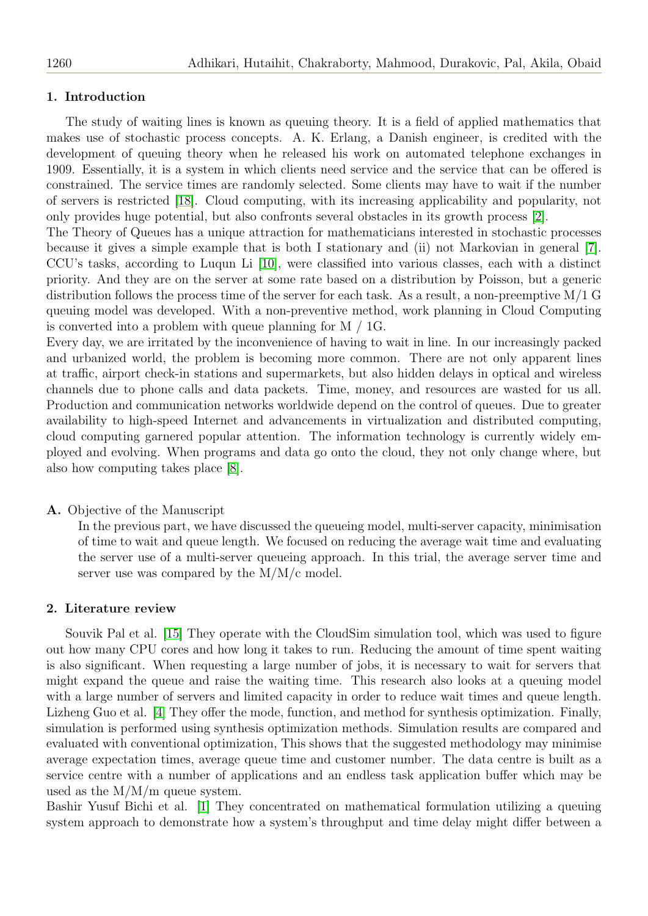## 1. Introduction

The study of waiting lines is known as queuing theory. It is a field of applied mathematics that makes use of stochastic process concepts. A. K. Erlang, a Danish engineer, is credited with the development of queuing theory when he released his work on automated telephone exchanges in 1909. Essentially, it is a system in which clients need service and the service that can be offered is constrained. The service times are randomly selected. Some clients may have to wait if the number of servers is restricted [\[18\]](#page-8-0). Cloud computing, with its increasing applicability and popularity, not only provides huge potential, but also confronts several obstacles in its growth process [\[2\]](#page-7-0).

The Theory of Queues has a unique attraction for mathematicians interested in stochastic processes because it gives a simple example that is both I stationary and (ii) not Markovian in general [\[7\]](#page-7-1). CCU's tasks, according to Luqun Li [\[10\]](#page-7-2), were classified into various classes, each with a distinct priority. And they are on the server at some rate based on a distribution by Poisson, but a generic distribution follows the process time of the server for each task. As a result, a non-preemptive  $M/I$  G queuing model was developed. With a non-preventive method, work planning in Cloud Computing is converted into a problem with queue planning for M / 1G.

Every day, we are irritated by the inconvenience of having to wait in line. In our increasingly packed and urbanized world, the problem is becoming more common. There are not only apparent lines at traffic, airport check-in stations and supermarkets, but also hidden delays in optical and wireless channels due to phone calls and data packets. Time, money, and resources are wasted for us all. Production and communication networks worldwide depend on the control of queues. Due to greater availability to high-speed Internet and advancements in virtualization and distributed computing, cloud computing garnered popular attention. The information technology is currently widely employed and evolving. When programs and data go onto the cloud, they not only change where, but also how computing takes place [\[8\]](#page-7-3).

#### A. Objective of the Manuscript

In the previous part, we have discussed the queueing model, multi-server capacity, minimisation of time to wait and queue length. We focused on reducing the average wait time and evaluating the server use of a multi-server queueing approach. In this trial, the average server time and server use was compared by the M/M/c model.

#### 2. Literature review

Souvik Pal et al. [\[15\]](#page-7-4) They operate with the CloudSim simulation tool, which was used to figure out how many CPU cores and how long it takes to run. Reducing the amount of time spent waiting is also significant. When requesting a large number of jobs, it is necessary to wait for servers that might expand the queue and raise the waiting time. This research also looks at a queuing model with a large number of servers and limited capacity in order to reduce wait times and queue length. Lizheng Guo et al. [\[4\]](#page-7-5) They offer the mode, function, and method for synthesis optimization. Finally, simulation is performed using synthesis optimization methods. Simulation results are compared and evaluated with conventional optimization, This shows that the suggested methodology may minimise average expectation times, average queue time and customer number. The data centre is built as a service centre with a number of applications and an endless task application buffer which may be used as the M/M/m queue system.

Bashir Yusuf Bichi et al. [\[1\]](#page-7-6) They concentrated on mathematical formulation utilizing a queuing system approach to demonstrate how a system's throughput and time delay might differ between a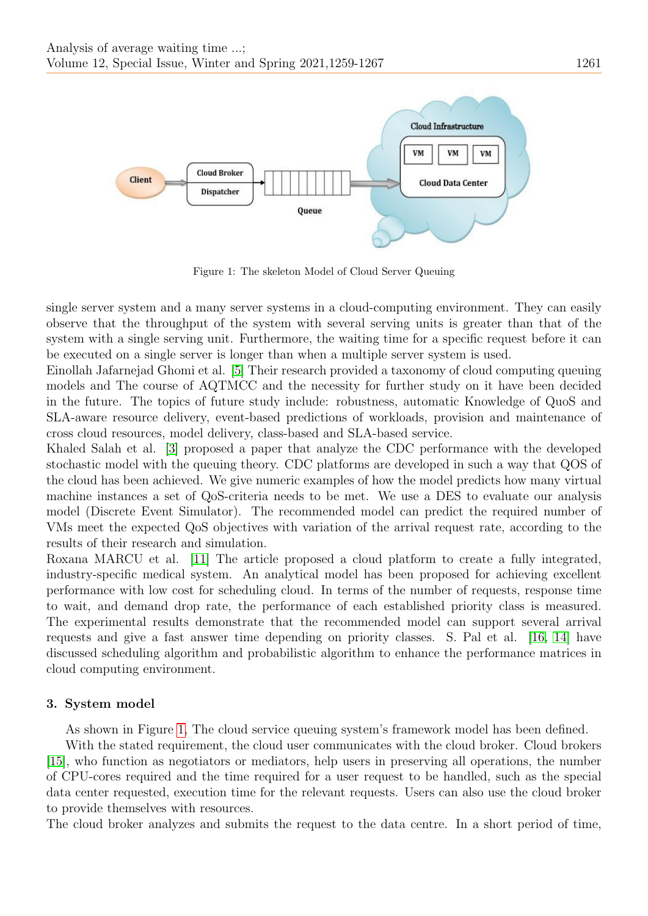

<span id="page-2-0"></span>Figure 1: The skeleton Model of Cloud Server Queuing

single server system and a many server systems in a cloud-computing environment. They can easily observe that the throughput of the system with several serving units is greater than that of the system with a single serving unit. Furthermore, the waiting time for a specific request before it can be executed on a single server is longer than when a multiple server system is used.

Einollah Jafarnejad Ghomi et al. [\[5\]](#page-7-7) Their research provided a taxonomy of cloud computing queuing models and The course of AQTMCC and the necessity for further study on it have been decided in the future. The topics of future study include: robustness, automatic Knowledge of QuoS and SLA-aware resource delivery, event-based predictions of workloads, provision and maintenance of cross cloud resources, model delivery, class-based and SLA-based service.

Khaled Salah et al. [\[3\]](#page-7-8) proposed a paper that analyze the CDC performance with the developed stochastic model with the queuing theory. CDC platforms are developed in such a way that QOS of the cloud has been achieved. We give numeric examples of how the model predicts how many virtual machine instances a set of QoS-criteria needs to be met. We use a DES to evaluate our analysis model (Discrete Event Simulator). The recommended model can predict the required number of VMs meet the expected QoS objectives with variation of the arrival request rate, according to the results of their research and simulation.

Roxana MARCU et al. [\[11\]](#page-7-9) The article proposed a cloud platform to create a fully integrated, industry-specific medical system. An analytical model has been proposed for achieving excellent performance with low cost for scheduling cloud. In terms of the number of requests, response time to wait, and demand drop rate, the performance of each established priority class is measured. The experimental results demonstrate that the recommended model can support several arrival requests and give a fast answer time depending on priority classes. S. Pal et al. [\[16,](#page-8-1) [14\]](#page-7-10) have discussed scheduling algorithm and probabilistic algorithm to enhance the performance matrices in cloud computing environment.

# 3. System model

As shown in Figure [1,](#page-2-0) The cloud service queuing system's framework model has been defined.

With the stated requirement, the cloud user communicates with the cloud broker. Cloud brokers [\[15\]](#page-7-4), who function as negotiators or mediators, help users in preserving all operations, the number of CPU-cores required and the time required for a user request to be handled, such as the special data center requested, execution time for the relevant requests. Users can also use the cloud broker to provide themselves with resources.

The cloud broker analyzes and submits the request to the data centre. In a short period of time,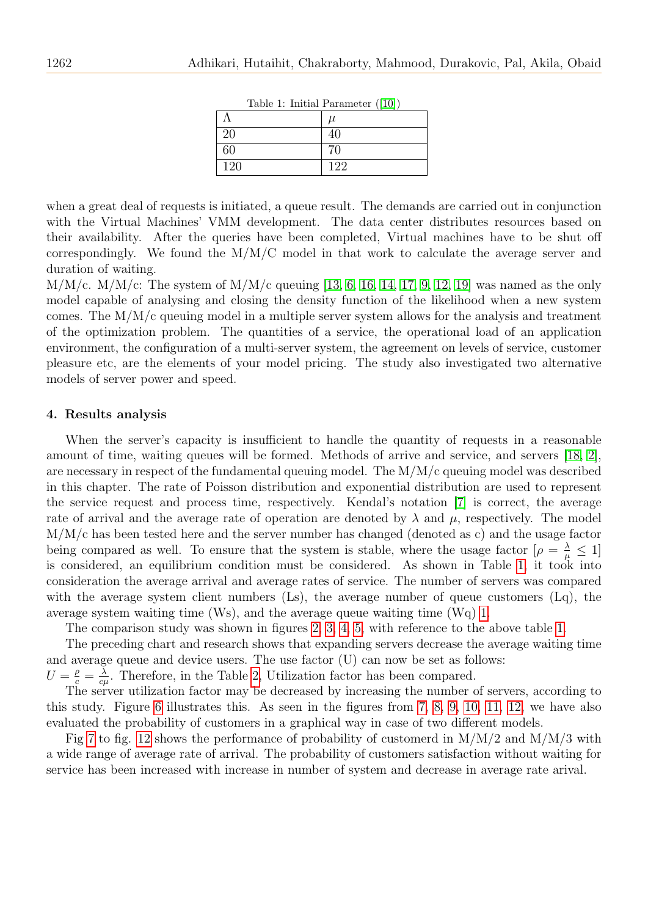| Table 1: Illitial Parameter (10) |  |       |
|----------------------------------|--|-------|
|                                  |  | $\mu$ |
| 20                               |  |       |
| 60                               |  | 70    |
| 120                              |  | 122   |

<span id="page-3-0"></span>Table 1: Initial Parameter ([\[10\]](#page-7-2))

when a great deal of requests is initiated, a queue result. The demands are carried out in conjunction with the Virtual Machines' VMM development. The data center distributes resources based on their availability. After the queries have been completed, Virtual machines have to be shut off correspondingly. We found the  $M/M/C$  model in that work to calculate the average server and duration of waiting.

 $M/M/c$ .  $M/M/c$ : The system of  $M/M/c$  queuing [\[13,](#page-7-11) [6,](#page-7-12) [16,](#page-8-1) [14,](#page-7-10) [17,](#page-8-2) [9,](#page-7-13) [12,](#page-7-14) [19\]](#page-8-3) was named as the only model capable of analysing and closing the density function of the likelihood when a new system comes. The  $M/M/c$  queuing model in a multiple server system allows for the analysis and treatment of the optimization problem. The quantities of a service, the operational load of an application environment, the configuration of a multi-server system, the agreement on levels of service, customer pleasure etc, are the elements of your model pricing. The study also investigated two alternative models of server power and speed.

## 4. Results analysis

When the server's capacity is insufficient to handle the quantity of requests in a reasonable amount of time, waiting queues will be formed. Methods of arrive and service, and servers [\[18,](#page-8-0) [2\]](#page-7-0), are necessary in respect of the fundamental queuing model. The M/M/c queuing model was described in this chapter. The rate of Poisson distribution and exponential distribution are used to represent the service request and process time, respectively. Kendal's notation [\[7\]](#page-7-1) is correct, the average rate of arrival and the average rate of operation are denoted by  $\lambda$  and  $\mu$ , respectively. The model M/M/c has been tested here and the server number has changed (denoted as c) and the usage factor being compared as well. To ensure that the system is stable, where the usage factor  $[\rho = \frac{\lambda}{\mu} \leq 1]$ is considered, an equilibrium condition must be considered. As shown in Table [1,](#page-3-0) it took into consideration the average arrival and average rates of service. The number of servers was compared with the average system client numbers  $(Ls)$ , the average number of queue customers  $(Lq)$ , the average system waiting time (Ws), and the average queue waiting time (Wq) [1.](#page-3-0)

The comparison study was shown in figures [2,](#page-4-0) [3,](#page-4-1) [4,](#page-4-2) [5,](#page-5-0) with reference to the above table [1.](#page-3-0)

The preceding chart and research shows that expanding servers decrease the average waiting time and average queue and device users. The use factor (U) can now be set as follows:

 $U=\frac{\rho}{c}=\frac{\lambda}{c\rho}$  $\frac{\lambda}{c\mu}$ . Therefore, in the Table [2,](#page-5-1) Utilization factor has been compared.

The server utilization factor may be decreased by increasing the number of servers, according to this study. Figure [6](#page-5-2) illustrates this. As seen in the figures from [7,](#page-6-0) [8,](#page-6-1) [9,](#page-6-2) [10,](#page-6-3) [11,](#page-6-4) [12,](#page-7-15) we have also evaluated the probability of customers in a graphical way in case of two different models.

Fig [7](#page-6-0) to fig. [12](#page-7-15) shows the performance of probability of customerd in  $M/M/2$  and  $M/M/3$  with a wide range of average rate of arrival. The probability of customers satisfaction without waiting for service has been increased with increase in number of system and decrease in average rate arival.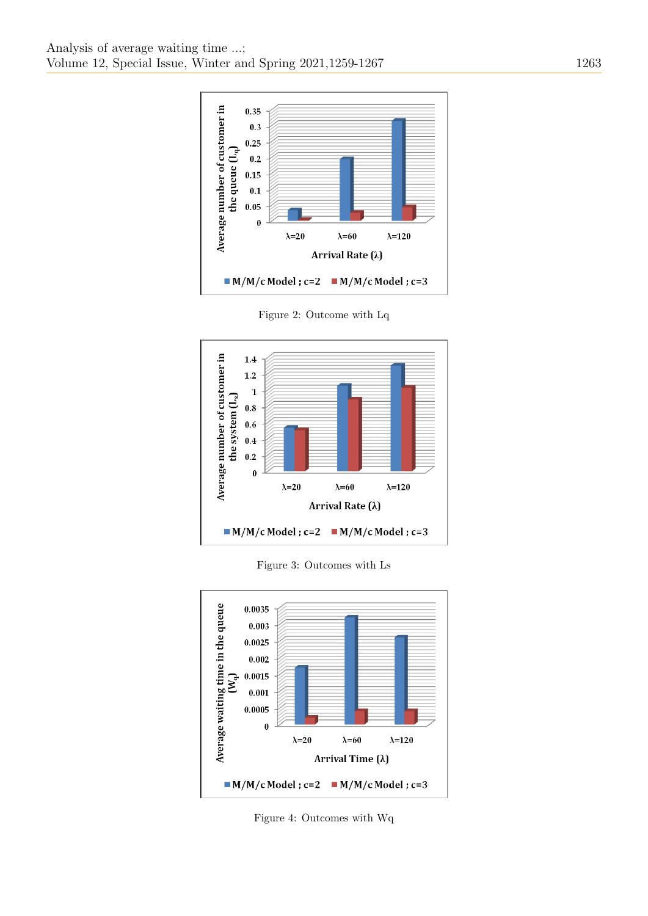

<span id="page-4-0"></span>Figure 2: Outcome with Lq



<span id="page-4-1"></span>Figure 3: Outcomes with Ls



<span id="page-4-2"></span>Figure 4: Outcomes with Wq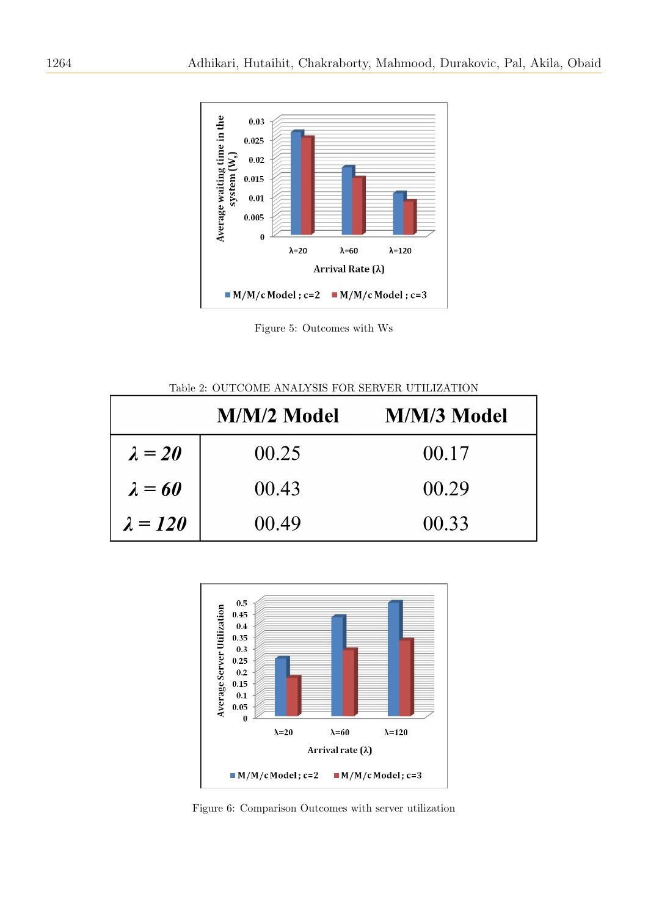

<span id="page-5-0"></span>Figure 5: Outcomes with Ws

<span id="page-5-1"></span>Table 2: OUTCOME ANALYSIS FOR SERVER UTILIZATION

|                 | M/M/2 Model | M/M/3 Model |
|-----------------|-------------|-------------|
| $\lambda = 20$  | 00.25       | 00.17       |
| $\lambda = 60$  | 00.43       | 00.29       |
| $\lambda = 120$ | 00.49       | 00.33       |



<span id="page-5-2"></span>Figure 6: Comparison Outcomes with server utilization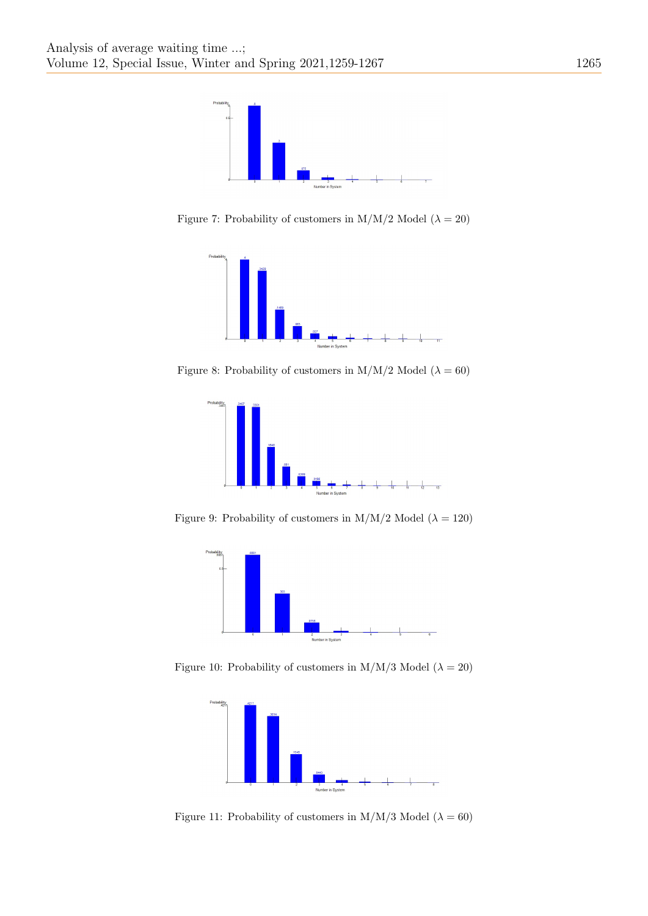

Figure 7: Probability of customers in M/M/2 Model ( $\lambda = 20$ )

<span id="page-6-0"></span>

Figure 8: Probability of customers in M/M/2 Model ( $\lambda = 60$ )

<span id="page-6-1"></span>

Figure 9: Probability of customers in M/M/2 Model ( $\lambda = 120$ )

<span id="page-6-2"></span>

Figure 10: Probability of customers in M/M/3 Model ( $\lambda = 20$ )

<span id="page-6-3"></span>

<span id="page-6-4"></span>Figure 11: Probability of customers in M/M/3 Model ( $\lambda = 60$ )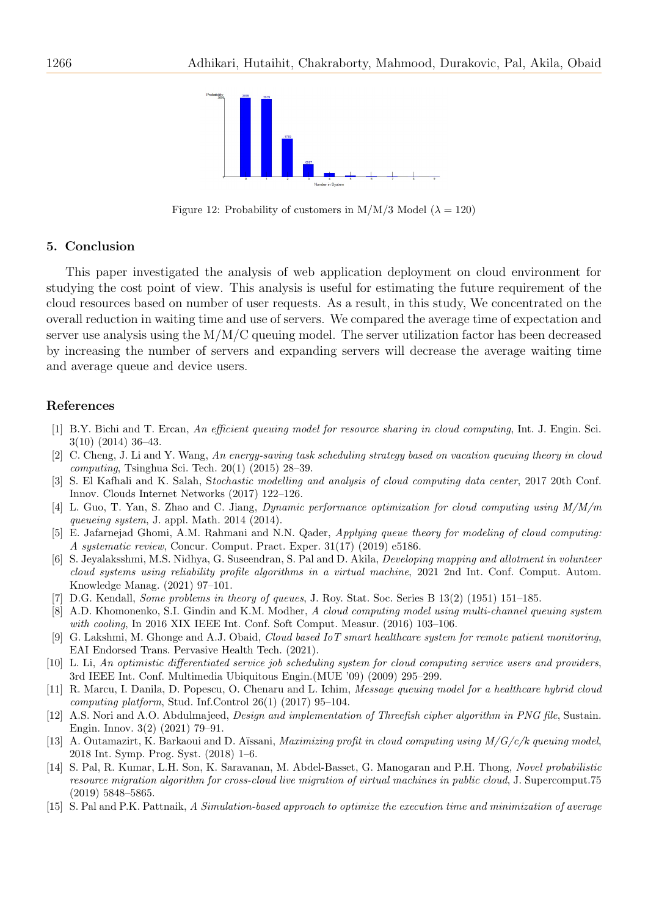

<span id="page-7-15"></span>Figure 12: Probability of customers in M/M/3 Model ( $\lambda = 120$ )

#### 5. Conclusion

This paper investigated the analysis of web application deployment on cloud environment for studying the cost point of view. This analysis is useful for estimating the future requirement of the cloud resources based on number of user requests. As a result, in this study, We concentrated on the overall reduction in waiting time and use of servers. We compared the average time of expectation and server use analysis using the M/M/C queuing model. The server utilization factor has been decreased by increasing the number of servers and expanding servers will decrease the average waiting time and average queue and device users.

#### References

- <span id="page-7-6"></span>[1] B.Y. Bichi and T. Ercan, An efficient queuing model for resource sharing in cloud computing, Int. J. Engin. Sci. 3(10) (2014) 36–43.
- <span id="page-7-0"></span>[2] C. Cheng, J. Li and Y. Wang, An energy-saving task scheduling strategy based on vacation queuing theory in cloud computing, Tsinghua Sci. Tech. 20(1) (2015) 28–39.
- <span id="page-7-8"></span>[3] S. El Kafhali and K. Salah, Stochastic modelling and analysis of cloud computing data center, 2017 20th Conf. Innov. Clouds Internet Networks (2017) 122–126.
- <span id="page-7-5"></span>[4] L. Guo, T. Yan, S. Zhao and C. Jiang, Dynamic performance optimization for cloud computing using M/M/m queueing system, J. appl. Math. 2014 (2014).
- <span id="page-7-7"></span>[5] E. Jafarnejad Ghomi, A.M. Rahmani and N.N. Qader, Applying queue theory for modeling of cloud computing: A systematic review, Concur. Comput. Pract. Exper. 31(17) (2019) e5186.
- <span id="page-7-12"></span>[6] S. Jeyalaksshmi, M.S. Nidhya, G. Suseendran, S. Pal and D. Akila, Developing mapping and allotment in volunteer cloud systems using reliability profile algorithms in a virtual machine, 2021 2nd Int. Conf. Comput. Autom. Knowledge Manag. (2021) 97–101.
- <span id="page-7-1"></span>[7] D.G. Kendall, Some problems in theory of queues, J. Roy. Stat. Soc. Series B 13(2) (1951) 151–185.
- <span id="page-7-3"></span>[8] A.D. Khomonenko, S.I. Gindin and K.M. Modher, A cloud computing model using multi-channel queuing system with cooling, In 2016 XIX IEEE Int. Conf. Soft Comput. Measur. (2016) 103–106.
- <span id="page-7-13"></span>[9] G. Lakshmi, M. Ghonge and A.J. Obaid, Cloud based IoT smart healthcare system for remote patient monitoring, EAI Endorsed Trans. Pervasive Health Tech. (2021).
- <span id="page-7-2"></span>[10] L. Li, An optimistic differentiated service job scheduling system for cloud computing service users and providers, 3rd IEEE Int. Conf. Multimedia Ubiquitous Engin.(MUE '09) (2009) 295–299.
- <span id="page-7-9"></span>[11] R. Marcu, I. Danila, D. Popescu, O. Chenaru and L. Ichim, Message queuing model for a healthcare hybrid cloud computing platform, Stud. Inf.Control 26(1) (2017) 95–104.
- <span id="page-7-14"></span>[12] A.S. Nori and A.O. Abdulmajeed, Design and implementation of Threefish cipher algorithm in PNG file, Sustain. Engin. Innov. 3(2) (2021) 79–91.
- <span id="page-7-11"></span>[13] A. Outamazirt, K. Barkaoui and D. Aïssani, *Maximizing profit in cloud computing using*  $M/G/c/k$  *queuing model*, 2018 Int. Symp. Prog. Syst. (2018) 1–6.
- <span id="page-7-10"></span>[14] S. Pal, R. Kumar, L.H. Son, K. Saravanan, M. Abdel-Basset, G. Manogaran and P.H. Thong, Novel probabilistic resource migration algorithm for cross-cloud live migration of virtual machines in public cloud, J. Supercomput.75 (2019) 5848–5865.
- <span id="page-7-4"></span>[15] S. Pal and P.K. Pattnaik, A Simulation-based approach to optimize the execution time and minimization of average